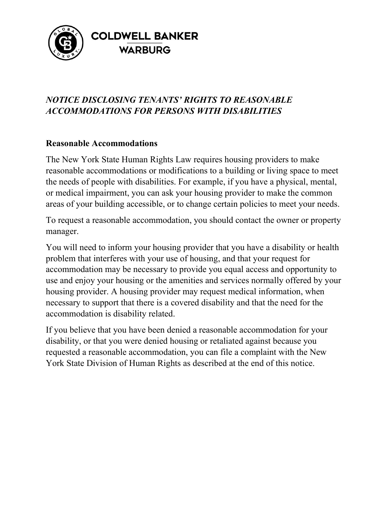

## *NOTICE DISCLOSING TENANTS' RIGHTS TO REASONABLE ACCOMMODATIONS FOR PERSONS WITH DISABILITIES*

## **Reasonable Accommodations**

The New York State Human Rights Law requires housing providers to make reasonable accommodations or modifications to a building or living space to meet the needs of people with disabilities. For example, if you have a physical, mental, or medical impairment, you can ask your housing provider to make the common areas of your building accessible, or to change certain policies to meet your needs.

To request a reasonable accommodation, you should contact the owner or property manager.

You will need to inform your housing provider that you have a disability or health problem that interferes with your use of housing, and that your request for accommodation may be necessary to provide you equal access and opportunity to use and enjoy your housing or the amenities and services normally offered by your housing provider. A housing provider may request medical information, when necessary to support that there is a covered disability and that the need for the accommodation is disability related.

If you believe that you have been denied a reasonable accommodation for your disability, or that you were denied housing or retaliated against because you requested a reasonable accommodation, you can file a complaint with the New York State Division of Human Rights as described at the end of this notice.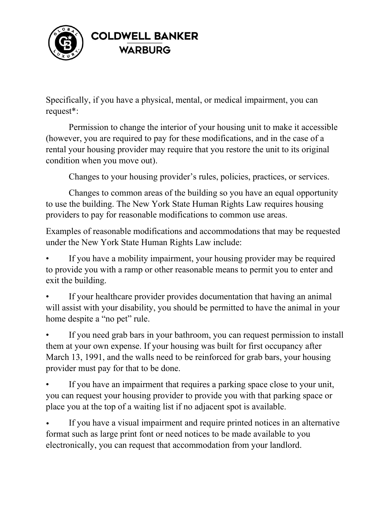

Specifically, if you have a physical, mental, or medical impairment, you can request\*:

Permission to change the interior of your housing unit to make it accessible (however, you are required to pay for these modifications, and in the case of a rental your housing provider may require that you restore the unit to its original condition when you move out).

Changes to your housing provider's rules, policies, practices, or services.

Changes to common areas of the building so you have an equal opportunity to use the building. The New York State Human Rights Law requires housing providers to pay for reasonable modifications to common use areas.

Examples of reasonable modifications and accommodations that may be requested under the New York State Human Rights Law include:

If you have a mobility impairment, your housing provider may be required to provide you with a ramp or other reasonable means to permit you to enter and exit the building.

If your healthcare provider provides documentation that having an animal will assist with your disability, you should be permitted to have the animal in your home despite a "no pet" rule.

If you need grab bars in your bathroom, you can request permission to install them at your own expense. If your housing was built for first occupancy after March 13, 1991, and the walls need to be reinforced for grab bars, your housing provider must pay for that to be done.

If you have an impairment that requires a parking space close to your unit, you can request your housing provider to provide you with that parking space or place you at the top of a waiting list if no adjacent spot is available.

If you have a visual impairment and require printed notices in an alternative format such as large print font or need notices to be made available to you electronically, you can request that accommodation from your landlord.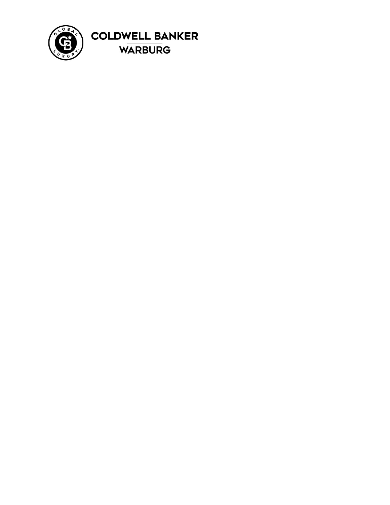